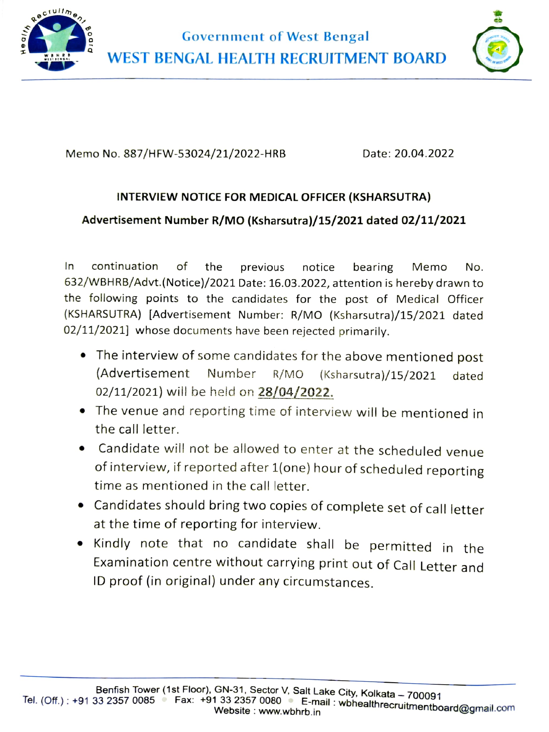

Government of West Bengal WEST BENGAL HEALTH RECRUITMENT BOARD



Memo No. 887/HFW-53024/21/2022-HRB Date: 20.04.2022

## INTERVIEW NOTICE FOR MEDICAL OFFICER (KSHARSUTRA)

## Advertisement Number R/MO (Ksharsutra)/15/2021 dated 02/11/2021

In continuation of the previous notice bearing Memo No. 632/WBHRB/Advt.(Notice)/2021 Date: 16.03.2022, attention is hereby drawn to the following points to the candidates for the post of Medical Officer (KSHARSUTRA) [Advertisement Number: R/MO (Ksharsutra)/15/2021 dated 02/11/2021] whose documents have been rejected primarily.

- The interview of some candidates for the above mentioned post (Advertisement Number R/MO (Ksharsutra)/15/2021 dated 02/11/2021) will be held on 28/04/2022.
- The venue and reporting time of interview will be mentioned in the call letter.
- Candidate will not be allowed to enter at the scheduled venue of interview, if reported after 1(one) hour of scheduled reporting time as mentioned in the call letter.
- Candidates should bring two copies of complete set of call letter at the time of reporting for interview.
- Kindly note that no candidate shall be permitted in the Examination centre without carrying print out of Call Letter and ID proof (in original) under any circumstances.